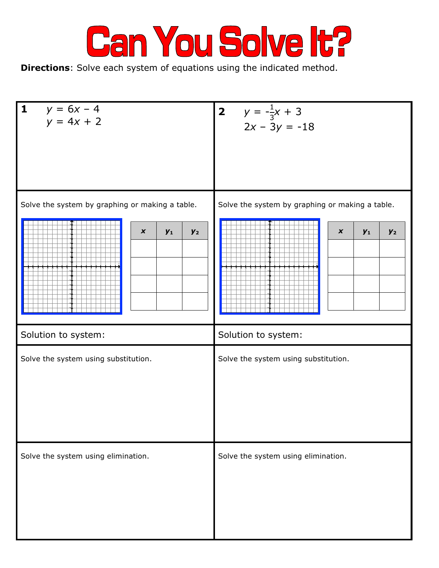

**Directions**: Solve each system of equations using the indicated method.

| 1 $y = 6x - 4$<br>$y = 4x + 2$                                                    | 2 $y = -\frac{1}{3}x + 3$<br>$2x - 3y = -18$                                          |
|-----------------------------------------------------------------------------------|---------------------------------------------------------------------------------------|
| Solve the system by graphing or making a table.<br>$\pmb{\chi}$<br>$y_2$<br>$y_1$ | Solve the system by graphing or making a table.<br>$\boldsymbol{x}$<br>$y_1$<br>$y_2$ |
| Solution to system:                                                               | Solution to system:                                                                   |
| Solve the system using substitution.                                              | Solve the system using substitution.                                                  |
| Solve the system using elimination.                                               | Solve the system using elimination.                                                   |